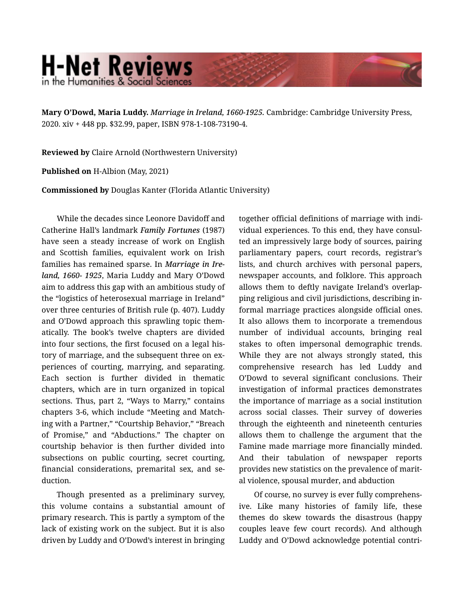## **H-Net Reviews** in the Humanities & Social Science

**Mary O'Dowd, Maria Luddy.** *Marriage in Ireland, 1660-1925.* Cambridge: Cambridge University Press, 2020. xiv + 448 pp. \$32.99, paper, ISBN 978-1-108-73190-4.

**Reviewed by** Claire Arnold (Northwestern University)

**Published on** H-Albion (May, 2021)

**Commissioned by** Douglas Kanter (Florida Atlantic University)

While the decades since Leonore Davidoff and Catherine Hall's landmark *Family Fortunes* (1987) have seen a steady increase of work on English and Scottish families, equivalent work on Irish families has remained sparse. In *Marriage in Ire‐ land, 1660- 1925*, Maria Luddy and Mary O'Dowd aim to address this gap with an ambitious study of the "logistics of heterosexual marriage in Ireland" over three centuries of British rule (p. 407). Luddy and O'Dowd approach this sprawling topic them‐ atically. The book's twelve chapters are divided into four sections, the first focused on a legal his‐ tory of marriage, and the subsequent three on experiences of courting, marrying, and separating. Each section is further divided in thematic chapters, which are in turn organized in topical sections. Thus, part 2, "Ways to Marry," contains chapters 3-6, which include "Meeting and Match‐ ing with a Partner," "Courtship Behavior," "Breach of Promise," and "Abductions." The chapter on courtship behavior is then further divided into subsections on public courting, secret courting, financial considerations, premarital sex, and se‐ duction.

Though presented as a preliminary survey, this volume contains a substantial amount of primary research. This is partly a symptom of the lack of existing work on the subject. But it is also driven by Luddy and O'Dowd's interest in bringing together official definitions of marriage with indi‐ vidual experiences. To this end, they have consul‐ ted an impressively large body of sources, pairing parliamentary papers, court records, registrar's lists, and church archives with personal papers, newspaper accounts, and folklore. This approach allows them to deftly navigate Ireland's overlap‐ ping religious and civil jurisdictions, describing in‐ formal marriage practices alongside official ones. It also allows them to incorporate a tremendous number of individual accounts, bringing real stakes to often impersonal demographic trends. While they are not always strongly stated, this comprehensive research has led Luddy and O'Dowd to several significant conclusions. Their investigation of informal practices demonstrates the importance of marriage as a social institution across social classes. Their survey of doweries through the eighteenth and nineteenth centuries allows them to challenge the argument that the Famine made marriage more financially minded. And their tabulation of newspaper reports provides new statistics on the prevalence of marit‐ al violence, spousal murder, and abduction

Of course, no survey is ever fully comprehens‐ ive. Like many histories of family life, these themes do skew towards the disastrous (happy couples leave few court records). And although Luddy and O'Dowd acknowledge potential contri‐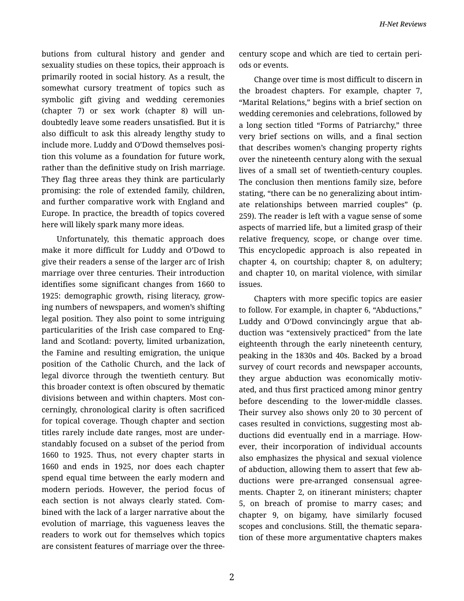butions from cultural history and gender and sexuality studies on these topics, their approach is primarily rooted in social history. As a result, the somewhat cursory treatment of topics such as symbolic gift giving and wedding ceremonies (chapter 7) or sex work (chapter 8) will un‐ doubtedly leave some readers unsatisfied. But it is also difficult to ask this already lengthy study to include more. Luddy and O'Dowd themselves posi‐ tion this volume as a foundation for future work, rather than the definitive study on Irish marriage. They flag three areas they think are particularly promising: the role of extended family, children, and further comparative work with England and Europe. In practice, the breadth of topics covered here will likely spark many more ideas.

Unfortunately, this thematic approach does make it more difficult for Luddy and O'Dowd to give their readers a sense of the larger arc of Irish marriage over three centuries. Their introduction identifies some significant changes from 1660 to 1925: demographic growth, rising literacy, grow‐ ing numbers of newspapers, and women's shifting legal position. They also point to some intriguing particularities of the Irish case compared to Eng‐ land and Scotland: poverty, limited urbanization, the Famine and resulting emigration, the unique position of the Catholic Church, and the lack of legal divorce through the twentieth century. But this broader context is often obscured by thematic divisions between and within chapters. Most con‐ cerningly, chronological clarity is often sacrificed for topical coverage. Though chapter and section titles rarely include date ranges, most are under‐ standably focused on a subset of the period from 1660 to 1925. Thus, not every chapter starts in 1660 and ends in 1925, nor does each chapter spend equal time between the early modern and modern periods. However, the period focus of each section is not always clearly stated. Com‐ bined with the lack of a larger narrative about the evolution of marriage, this vagueness leaves the readers to work out for themselves which topics are consistent features of marriage over the threecentury scope and which are tied to certain peri‐ ods or events.

Change over time is most difficult to discern in the broadest chapters. For example, chapter 7, "Marital Relations," begins with a brief section on wedding ceremonies and celebrations, followed by a long section titled "Forms of Patriarchy," three very brief sections on wills, and a final section that describes women's changing property rights over the nineteenth century along with the sexual lives of a small set of twentieth-century couples. The conclusion then mentions family size, before stating, "there can be no generalizing about intim‐ ate relationships between married couples" (p. 259). The reader is left with a vague sense of some aspects of married life, but a limited grasp of their relative frequency, scope, or change over time. This encyclopedic approach is also repeated in chapter 4, on courtship; chapter 8, on adultery; and chapter 10, on marital violence, with similar issues.

Chapters with more specific topics are easier to follow. For example, in chapter 6, "Abductions," Luddy and O'Dowd convincingly argue that ab‐ duction was "extensively practiced" from the late eighteenth through the early nineteenth century, peaking in the 1830s and 40s. Backed by a broad survey of court records and newspaper accounts, they argue abduction was economically motiv‐ ated, and thus first practiced among minor gentry before descending to the lower-middle classes. Their survey also shows only 20 to 30 percent of cases resulted in convictions, suggesting most ab‐ ductions did eventually end in a marriage. How‐ ever, their incorporation of individual accounts also emphasizes the physical and sexual violence of abduction, allowing them to assert that few ab‐ ductions were pre-arranged consensual agree‐ ments. Chapter 2, on itinerant ministers; chapter 5, on breach of promise to marry cases; and chapter 9, on bigamy, have similarly focused scopes and conclusions. Still, the thematic separa‐ tion of these more argumentative chapters makes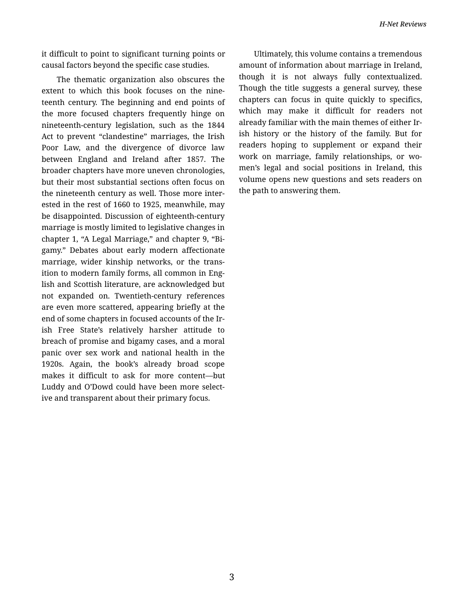it difficult to point to significant turning points or causal factors beyond the specific case studies.

The thematic organization also obscures the extent to which this book focuses on the nine‐ teenth century. The beginning and end points of the more focused chapters frequently hinge on nineteenth-century legislation, such as the 1844 Act to prevent "clandestine" marriages, the Irish Poor Law, and the divergence of divorce law between England and Ireland after 1857. The broader chapters have more uneven chronologies, but their most substantial sections often focus on the nineteenth century as well. Those more inter‐ ested in the rest of 1660 to 1925, meanwhile, may be disappointed. Discussion of eighteenth-century marriage is mostly limited to legislative changes in chapter 1, "A Legal Marriage," and chapter 9, "Bi‐ gamy." Debates about early modern affectionate marriage, wider kinship networks, or the trans‐ ition to modern family forms, all common in Eng‐ lish and Scottish literature, are acknowledged but not expanded on. Twentieth-century references are even more scattered, appearing briefly at the end of some chapters in focused accounts of the Ir‐ ish Free State's relatively harsher attitude to breach of promise and bigamy cases, and a moral panic over sex work and national health in the 1920s. Again, the book's already broad scope makes it difficult to ask for more content—but Luddy and O'Dowd could have been more select‐ ive and transparent about their primary focus.

Ultimately, this volume contains a tremendous amount of information about marriage in Ireland, though it is not always fully contextualized. Though the title suggests a general survey, these chapters can focus in quite quickly to specifics, which may make it difficult for readers not already familiar with the main themes of either Ir‐ ish history or the history of the family. But for readers hoping to supplement or expand their work on marriage, family relationships, or women's legal and social positions in Ireland, this volume opens new questions and sets readers on the path to answering them.